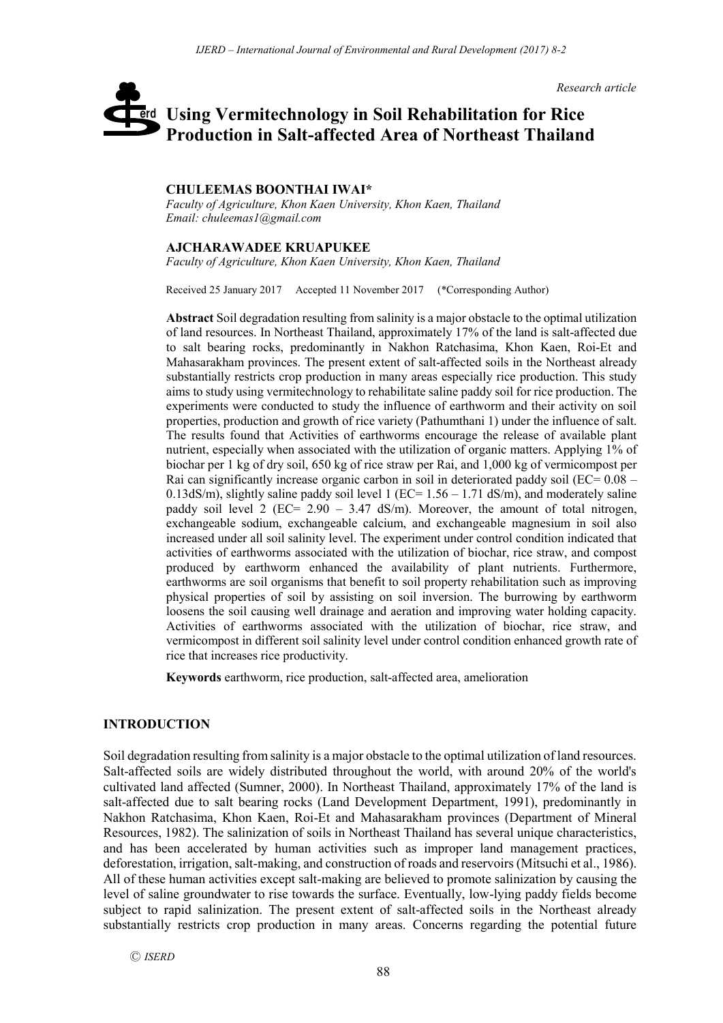*Research article*

# **Using Vermitechnology in Soil Rehabilitation for Rice**  erd **Production in Salt-affected Area of Northeast Thailand**

# **CHULEEMAS BOONTHAI IWAI\***

*Faculty of Agriculture, Khon Kaen University, Khon Kaen, Thailand Email: chuleemas1@gmail.com*

#### **AJCHARAWADEE KRUAPUKEE**

*Faculty of Agriculture, Khon Kaen University, Khon Kaen, Thailand*

Received 25 January 2017 Accepted 11 November 2017 (\*Corresponding Author)

**Abstract** Soil degradation resulting from salinity is a major obstacle to the optimal utilization of land resources. In Northeast Thailand, approximately 17% of the land is salt-affected due to salt bearing rocks, predominantly in Nakhon Ratchasima, Khon Kaen, Roi-Et and Mahasarakham provinces. The present extent of salt-affected soils in the Northeast already substantially restricts crop production in many areas especially rice production. This study aims to study using vermitechnology to rehabilitate saline paddy soil for rice production. The experiments were conducted to study the influence of earthworm and their activity on soil properties, production and growth of rice variety (Pathumthani 1) under the influence of salt. The results found that Activities of earthworms encourage the release of available plant nutrient, especially when associated with the utilization of organic matters. Applying 1% of biochar per 1 kg of dry soil, 650 kg of rice straw per Rai, and 1,000 kg of vermicompost per Rai can significantly increase organic carbon in soil in deteriorated paddy soil ( $EC = 0.08 -$ 0.13dS/m), slightly saline paddy soil level 1 ( $EC = 1.56 - 1.71$  dS/m), and moderately saline paddy soil level 2 (EC= 2.90 – 3.47 dS/m). Moreover, the amount of total nitrogen, exchangeable sodium, exchangeable calcium, and exchangeable magnesium in soil also increased under all soil salinity level. The experiment under control condition indicated that activities of earthworms associated with the utilization of biochar, rice straw, and compost produced by earthworm enhanced the availability of plant nutrients. Furthermore, earthworms are soil organisms that benefit to soil property rehabilitation such as improving physical properties of soil by assisting on soil inversion. The burrowing by earthworm loosens the soil causing well drainage and aeration and improving water holding capacity. Activities of earthworms associated with the utilization of biochar, rice straw, and vermicompost in different soil salinity level under control condition enhanced growth rate of rice that increases rice productivity.

**Keywords** earthworm, rice production, salt-affected area, amelioration

## **INTRODUCTION**

Soil degradation resulting from salinity is a major obstacle to the optimal utilization of land resources. Salt-affected soils are widely distributed throughout the world, with around 20% of the world's cultivated land affected (Sumner, 2000). In Northeast Thailand, approximately 17% of the land is salt-affected due to salt bearing rocks (Land Development Department, 1991), predominantly in Nakhon Ratchasima, Khon Kaen, Roi-Et and Mahasarakham provinces (Department of Mineral Resources, 1982). The salinization of soils in Northeast Thailand has several unique characteristics, and has been accelerated by human activities such as improper land management practices, deforestation, irrigation, salt-making, and construction of roads and reservoirs (Mitsuchi et al., 1986). All of these human activities except salt-making are believed to promote salinization by causing the level of saline groundwater to rise towards the surface. Eventually, low-lying paddy fields become subject to rapid salinization. The present extent of salt-affected soils in the Northeast already substantially restricts crop production in many areas. Concerns regarding the potential future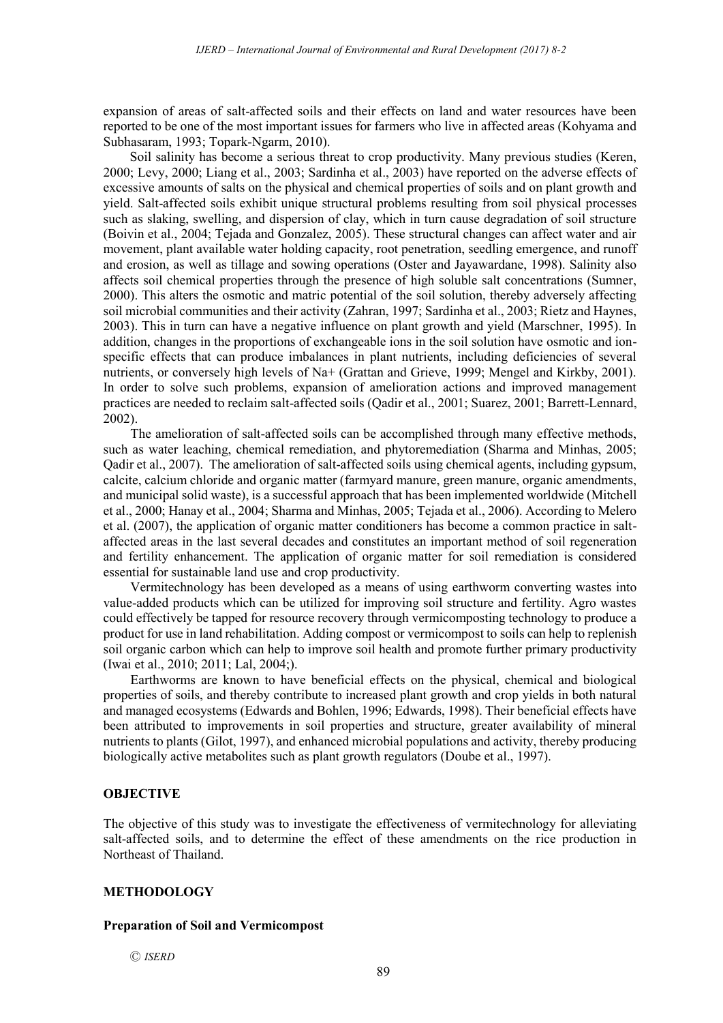expansion of areas of salt-affected soils and their effects on land and water resources have been reported to be one of the most important issues for farmers who live in affected areas (Kohyama and Subhasaram, 1993; Topark-Ngarm, 2010).

Soil salinity has become a serious threat to crop productivity. Many previous studies (Keren, 2000; Levy, 2000; Liang et al., 2003; Sardinha et al., 2003) have reported on the adverse effects of excessive amounts of salts on the physical and chemical properties of soils and on plant growth and yield. Salt-affected soils exhibit unique structural problems resulting from soil physical processes such as slaking, swelling, and dispersion of clay, which in turn cause degradation of soil structure (Boivin et al., 2004; Tejada and Gonzalez, 2005). These structural changes can affect water and air movement, plant available water holding capacity, root penetration, seedling emergence, and runoff and erosion, as well as tillage and sowing operations (Oster and Jayawardane, 1998). Salinity also affects soil chemical properties through the presence of high soluble salt concentrations (Sumner, 2000). This alters the osmotic and matric potential of the soil solution, thereby adversely affecting soil microbial communities and their activity (Zahran, 1997; Sardinha et al., 2003; Rietz and Haynes, 2003). This in turn can have a negative influence on plant growth and yield (Marschner, 1995). In addition, changes in the proportions of exchangeable ions in the soil solution have osmotic and ionspecific effects that can produce imbalances in plant nutrients, including deficiencies of several nutrients, or conversely high levels of Na+ (Grattan and Grieve, 1999; Mengel and Kirkby, 2001). In order to solve such problems, expansion of amelioration actions and improved management practices are needed to reclaim salt-affected soils (Qadir et al., 2001; Suarez, 2001; Barrett-Lennard, 2002).

The amelioration of salt-affected soils can be accomplished through many effective methods, such as water leaching, chemical remediation, and phytoremediation (Sharma and Minhas, 2005; Qadir et al., 2007). The amelioration of salt-affected soils using chemical agents, including gypsum, calcite, calcium chloride and organic matter (farmyard manure, green manure, organic amendments, and municipal solid waste), is a successful approach that has been implemented worldwide (Mitchell et al., 2000; Hanay et al., 2004; Sharma and Minhas, 2005; Tejada et al., 2006). According to Melero et al. (2007), the application of organic matter conditioners has become a common practice in saltaffected areas in the last several decades and constitutes an important method of soil regeneration and fertility enhancement. The application of organic matter for soil remediation is considered essential for sustainable land use and crop productivity.

Vermitechnology has been developed as a means of using earthworm converting wastes into value-added products which can be utilized for improving soil structure and fertility. Agro wastes could effectively be tapped for resource recovery through vermicomposting technology to produce a product for use in land rehabilitation. Adding compost or vermicompost to soils can help to replenish soil organic carbon which can help to improve soil health and promote further primary productivity (Iwai et al., 2010; 2011; Lal, 2004;).

Earthworms are known to have beneficial effects on the physical, chemical and biological properties of soils, and thereby contribute to increased plant growth and crop yields in both natural and managed ecosystems (Edwards and Bohlen, 1996; Edwards, 1998). Their beneficial effects have been attributed to improvements in soil properties and structure, greater availability of mineral nutrients to plants (Gilot, 1997), and enhanced microbial populations and activity, thereby producing biologically active metabolites such as plant growth regulators (Doube et al., 1997).

#### **OBJECTIVE**

The objective of this study was to investigate the effectiveness of vermitechnology for alleviating salt-affected soils, and to determine the effect of these amendments on the rice production in Northeast of Thailand.

## **METHODOLOGY**

#### **Preparation of Soil and Vermicompost**

Ⓒ *ISERD*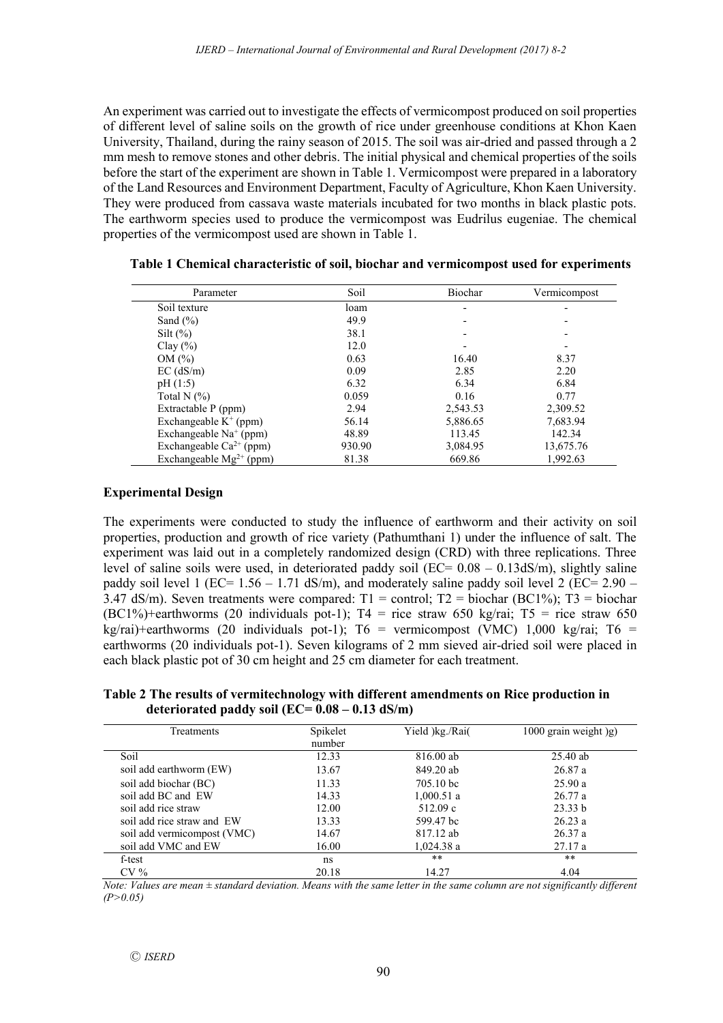An experiment was carried out to investigate the effects of vermicompost produced on soil properties of different level of saline soils on the growth of rice under greenhouse conditions at Khon Kaen University, Thailand, during the rainy season of 2015. The soil was air-dried and passed through a 2 mm mesh to remove stones and other debris. The initial physical and chemical properties of the soils before the start of the experiment are shown in Table 1. Vermicompost were prepared in a laboratory of the Land Resources and Environment Department, Faculty of Agriculture, Khon Kaen University. They were produced from cassava waste materials incubated for two months in black plastic pots. The earthworm species used to produce the vermicompost was Eudrilus eugeniae. The chemical properties of the vermicompost used are shown in Table 1.

| Parameter                    | Soil   | Biochar  | Vermicompost |
|------------------------------|--------|----------|--------------|
| Soil texture                 | loam   |          |              |
| Sand $(\% )$                 | 49.9   |          |              |
| $Silt (\%)$                  | 38.1   |          |              |
| Clay $(\% )$                 | 12.0   |          |              |
| OM(%)                        | 0.63   | 16.40    | 8.37         |
| $EC$ (dS/m)                  | 0.09   | 2.85     | 2.20         |
| pH(1:5)                      | 6.32   | 6.34     | 6.84         |
| Total N $(\%)$               | 0.059  | 0.16     | 0.77         |
| Extractable P (ppm)          | 2.94   | 2,543.53 | 2,309.52     |
| Exchangeable $K^+$ (ppm)     | 56.14  | 5,886.65 | 7,683.94     |
| Exchangeable $Na+$ (ppm)     | 48.89  | 113.45   | 142.34       |
| Exchangeable $Ca^{2+}$ (ppm) | 930.90 | 3,084.95 | 13,675.76    |
| Exchangeable $Mg^{2+}$ (ppm) | 81.38  | 669.86   | 1.992.63     |

**Table 1 Chemical characteristic of soil, biochar and vermicompost used for experiments** 

## **Experimental Design**

The experiments were conducted to study the influence of earthworm and their activity on soil properties, production and growth of rice variety (Pathumthani 1) under the influence of salt. The experiment was laid out in a completely randomized design (CRD) with three replications. Three level of saline soils were used, in deteriorated paddy soil ( $EC = 0.08 - 0.13$ dS/m), slightly saline paddy soil level 1 (EC=  $1.56 - 1.71$  dS/m), and moderately saline paddy soil level 2 (EC=  $2.90 -$ 3.47 dS/m). Seven treatments were compared:  $T1 =$  control;  $T2 =$  biochar (BC1%);  $T3 =$  biochar (BC1%)+earthworms (20 individuals pot-1);  $T4 =$  rice straw 650 kg/rai;  $T5 =$  rice straw 650 kg/rai)+earthworms (20 individuals pot-1);  $T6 =$  vermicompost (VMC) 1,000 kg/rai;  $T6 =$ earthworms (20 individuals pot-1). Seven kilograms of 2 mm sieved air-dried soil were placed in each black plastic pot of 30 cm height and 25 cm diameter for each treatment.

**Table 2 The results of vermitechnology with different amendments on Rice production in deteriorated paddy soil (EC= 0.08 – 0.13 dS/m)**

| Treatments                  | Spikelet<br>number | Yield )kg./Rai( | $1000$ grain weight $)g$ |
|-----------------------------|--------------------|-----------------|--------------------------|
| Soil                        | 12.33              | 816.00 ab       | $25.40$ ab               |
| soil add earthworm (EW)     | 13.67              | 849.20 ab       | 26.87a                   |
| soil add biochar (BC)       | 11.33              | 705.10 bc       | 25.90a                   |
| soil add BC and EW          | 14.33              | 1,000.51a       | 26.77a                   |
| soil add rice straw         | 12.00              | 512.09c         | 23.33 b                  |
| soil add rice straw and EW  | 13.33              | 599.47 bc       | 26.23a                   |
| soil add vermicompost (VMC) | 14.67              | 817.12 ab       | 26.37a                   |
| soil add VMC and EW         | 16.00              | 1,024.38 a      | 27.17a                   |
| f-test                      | ns                 | **              | **                       |
| CV <sub>0</sub>             | 20.18              | 14.27           | 4.04                     |

*Note: Values are mean*  $\pm$  *standard deviation. Means with the same letter in the same column are not significantly different (P>0.05)*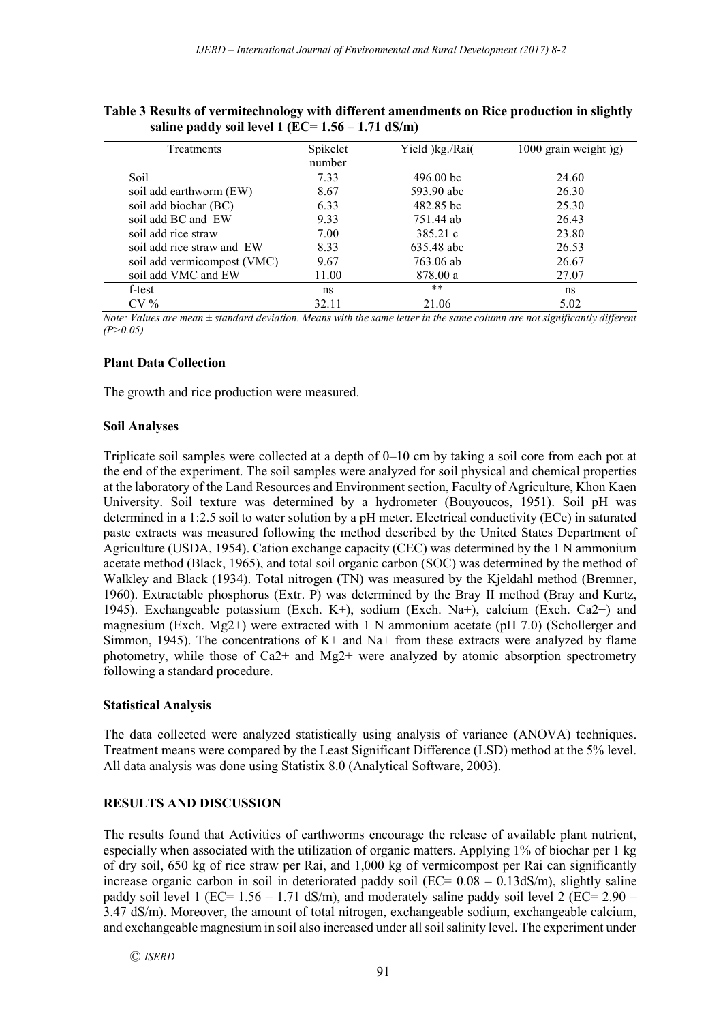| Table 3 Results of vermitechnology with different amendments on Rice production in slightly |  |
|---------------------------------------------------------------------------------------------|--|
| saline paddy soil level 1 (EC= $1.56 - 1.71$ dS/m)                                          |  |

| <b>Treatments</b>           | Spikelet<br>number | Yield )kg./Rai( | 1000 grain weight )g) |
|-----------------------------|--------------------|-----------------|-----------------------|
| Soil                        | 7.33               | $496.00$ bc     | 24.60                 |
| soil add earthworm (EW)     | 8.67               | 593.90 abc      | 26.30                 |
| soil add biochar (BC)       | 6.33               | 482.85 bc       | 25.30                 |
| soil add BC and EW          | 9.33               | 751.44 ab       | 26.43                 |
| soil add rice straw         | 7.00               | 385.21 c        | 23.80                 |
| soil add rice straw and EW  | 8.33               | 635.48 abc      | 26.53                 |
| soil add vermicompost (VMC) | 9.67               | 763.06 ab       | 26.67                 |
| soil add VMC and EW         | 11.00              | 878.00 a        | 27.07                 |
| f-test                      | ns                 | $***$           | ns                    |
| $CV\%$                      | 32.11              | 21.06           | 5.02                  |

*Note: Values are mean ± standard deviation. Means with the same letter in the same column are not significantly different (P>0.05)*

#### **Plant Data Collection**

The growth and rice production were measured.

#### **Soil Analyses**

Triplicate soil samples were collected at a depth of 0–10 cm by taking a soil core from each pot at the end of the experiment. The soil samples were analyzed for soil physical and chemical properties at the laboratory of the Land Resources and Environment section, Faculty of Agriculture, Khon Kaen University. Soil texture was determined by a hydrometer (Bouyoucos, 1951). Soil pH was determined in a 1:2.5 soil to water solution by a pH meter. Electrical conductivity (ECe) in saturated paste extracts was measured following the method described by the United States Department of Agriculture (USDA, 1954). Cation exchange capacity (CEC) was determined by the 1 N ammonium acetate method (Black, 1965), and total soil organic carbon (SOC) was determined by the method of Walkley and Black (1934). Total nitrogen (TN) was measured by the Kjeldahl method (Bremner, 1960). Extractable phosphorus (Extr. P) was determined by the Bray II method (Bray and Kurtz, 1945). Exchangeable potassium (Exch. K+), sodium (Exch. Na+), calcium (Exch. Ca2+) and magnesium (Exch. Mg2+) were extracted with 1 N ammonium acetate (pH 7.0) (Schollerger and Simmon, 1945). The concentrations of  $K<sup>+</sup>$  and Na+ from these extracts were analyzed by flame photometry, while those of Ca2+ and Mg2+ were analyzed by atomic absorption spectrometry following a standard procedure.

## **Statistical Analysis**

The data collected were analyzed statistically using analysis of variance (ANOVA) techniques. Treatment means were compared by the Least Significant Difference (LSD) method at the 5% level. All data analysis was done using Statistix 8.0 (Analytical Software, 2003).

## **RESULTS AND DISCUSSION**

The results found that Activities of earthworms encourage the release of available plant nutrient, especially when associated with the utilization of organic matters. Applying 1% of biochar per 1 kg of dry soil, 650 kg of rice straw per Rai, and 1,000 kg of vermicompost per Rai can significantly increase organic carbon in soil in deteriorated paddy soil ( $EC = 0.08 - 0.13$ dS/m), slightly saline paddy soil level 1 (EC=  $1.56 - 1.71$  dS/m), and moderately saline paddy soil level 2 (EC=  $2.90 -$ 3.47 dS/m). Moreover, the amount of total nitrogen, exchangeable sodium, exchangeable calcium, and exchangeable magnesium in soil also increased under all soil salinity level. The experiment under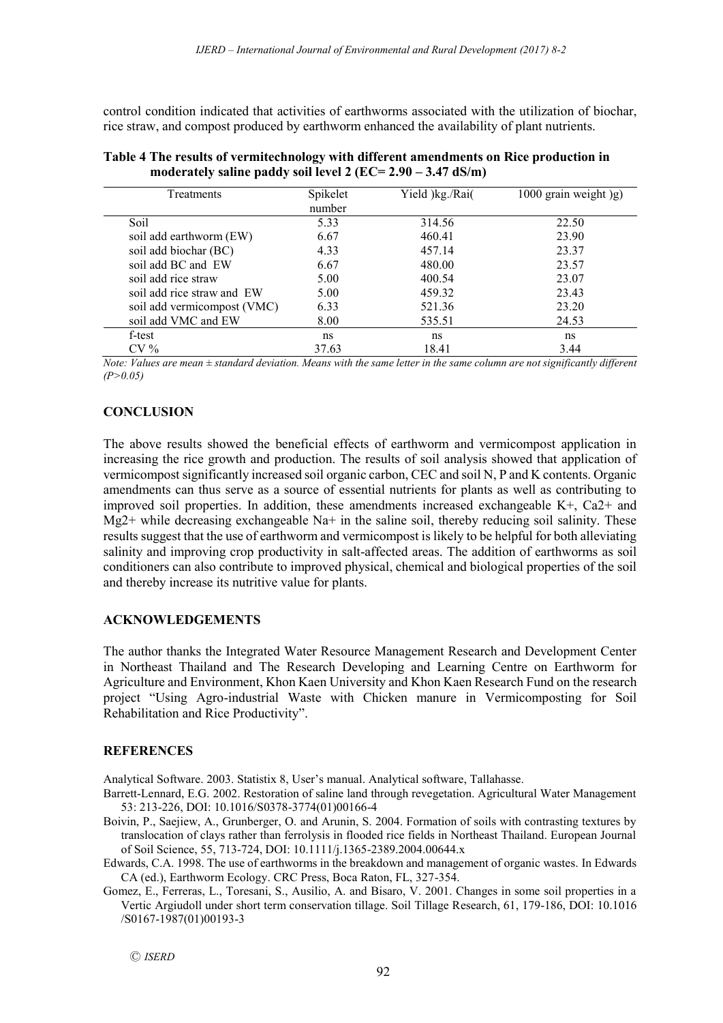control condition indicated that activities of earthworms associated with the utilization of biochar, rice straw, and compost produced by earthworm enhanced the availability of plant nutrients.

| Treatments                  | Spikelet<br>number | Yield )kg./Rai( | 1000 grain weight )g) |
|-----------------------------|--------------------|-----------------|-----------------------|
| Soil                        | 5.33               | 314.56          | 22.50                 |
| soil add earthworm (EW)     | 6.67               | 460.41          | 23.90                 |
| soil add biochar (BC)       | 4.33               | 457.14          | 23.37                 |
| soil add BC and EW          | 6.67               | 480.00          | 23.57                 |
| soil add rice straw         | 5.00               | 400.54          | 23.07                 |
| soil add rice straw and EW  | 5.00               | 459.32          | 23.43                 |
| soil add vermicompost (VMC) | 6.33               | 521.36          | 23.20                 |
| soil add VMC and EW         | 8.00               | 535.51          | 24.53                 |
| f-test                      | ns                 | ns              | ns                    |
| $CV\%$                      | 37.63              | 18.41           | 3.44                  |

|                                                                 | Table 4 The results of vermitechnology with different amendments on Rice production in |
|-----------------------------------------------------------------|----------------------------------------------------------------------------------------|
| moderately saline paddy soil level 2 ( $EC = 2.90 - 3.47$ dS/m) |                                                                                        |

*Note: Values are mean ± standard deviation. Means with the same letter in the same column are not significantly different (P>0.05)*

## **CONCLUSION**

The above results showed the beneficial effects of earthworm and vermicompost application in increasing the rice growth and production. The results of soil analysis showed that application of vermicompost significantly increased soil organic carbon, CEC and soil N, P and K contents. Organic amendments can thus serve as a source of essential nutrients for plants as well as contributing to improved soil properties. In addition, these amendments increased exchangeable K+, Ca2+ and  $Mg2$ + while decreasing exchangeable Na+ in the saline soil, thereby reducing soil salinity. These results suggest that the use of earthworm and vermicompost is likely to be helpful for both alleviating salinity and improving crop productivity in salt-affected areas. The addition of earthworms as soil conditioners can also contribute to improved physical, chemical and biological properties of the soil and thereby increase its nutritive value for plants.

## **ACKNOWLEDGEMENTS**

The author thanks the Integrated Water Resource Management Research and Development Center in Northeast Thailand and The Research Developing and Learning Centre on Earthworm for Agriculture and Environment, Khon Kaen University and Khon Kaen Research Fund on the research project "Using Agro-industrial Waste with Chicken manure in Vermicomposting for Soil Rehabilitation and Rice Productivity".

## **REFERENCES**

Analytical Software. 2003. Statistix 8, User's manual. Analytical software, Tallahasse.

- Barrett-Lennard, E.G. 2002. Restoration of saline land through revegetation. Agricultural Water Management 53: 213-226, DOI: 10.1016/S0378-3774(01)00166-4
- Boivin, P., Saejiew, A., Grunberger, O. and Arunin, S. 2004. Formation of soils with contrasting textures by translocation of clays rather than ferrolysis in flooded rice fields in Northeast Thailand. European Journal of Soil Science, 55, 713-724, DOI: 10.1111/j.1365-2389.2004.00644.x

Edwards, C.A. 1998. The use of earthworms in the breakdown and management of organic wastes. In Edwards CA (ed.), Earthworm Ecology. CRC Press, Boca Raton, FL, 327-354.

Gomez, E., Ferreras, L., Toresani, S., Ausilio, A. and Bisaro, V. 2001. Changes in some soil properties in a Vertic Argiudoll under short term conservation tillage. Soil Tillage Research, 61, 179-186, DOI: 10.1016 /S0167-1987(01)00193-3